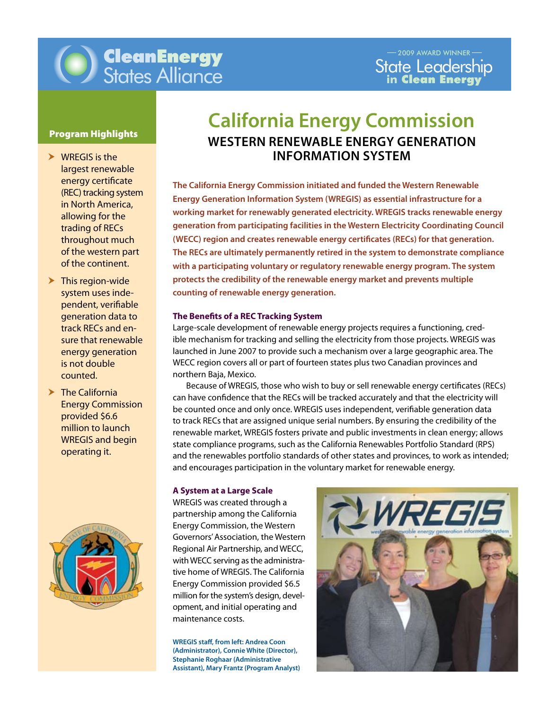

## Program Highlights

- $\triangleright$  WREGIS is the largest renewable energy certificate (REC) tracking system in North America, allowing for the trading of RECs throughout much of the western part of the continent.
- $\blacktriangleright$  This region-wide system uses independent, verifiable generation data to track RECs and ensure that renewable energy generation is not double counted.
- $\blacktriangleright$  The California Energy Commission provided \$6.6 million to launch WREGIS and begin operating it.



# **California Energy Commission Western Renewable Energy Generation Information System**

**counting of renewable energy generation. The California Energy Commission initiated and funded the Western Renewable Energy Generation Information System (WREGIS) as essential infrastructure for a working market for renewably generated electricity. WREGIS tracks renewable energy generation from participating facilities in the Western Electricity Coordinating Council (WECC) region and creates renewable energy certificates (RECs) for that generation. The RECs are ultimately permanently retired in the system to demonstrate compliance with a participating voluntary or regulatory renewable energy program. The system protects the credibility of the renewable energy market and prevents multiple** 

## **The Benefits of a REC Tracking System**

Large-scale development of renewable energy projects requires a functioning, credible mechanism for tracking and selling the electricity from those projects. WREGIS was launched in June 2007 to provide such a mechanism over a large geographic area. The WECC region covers all or part of fourteen states plus two Canadian provinces and northern Baja, Mexico.

can have confidence that the RECs will be tracked accurately and that the electricity will Because of WREGIS, those who wish to buy or sell renewable energy certificates (RECs) be counted once and only once. WREGIS uses independent, verifiable generation data to track RECs that are assigned unique serial numbers. By ensuring the credibility of the renewable market, WREGIS fosters private and public investments in clean energy; allows state compliance programs, such as the California Renewables Portfolio Standard (RPS) and the renewables portfolio standards of other states and provinces, to work as intended; and encourages participation in the voluntary market for renewable energy.

### **A System at a Large Scale**

WREGIS was created through a partnership among the California Energy Commission, the Western Governors'Association, the Western Regional Air Partnership, and WECC, with WECC serving as the administrative home of WREGIS. The California Energy Commission provided \$6.5 million for the system's design, development, and initial operating and maintenance costs.

**WREGIS staff, from left: Andrea Coon (Administrator), Connie White (Director), Stephanie Roghaar (Administrative Assistant), Mary Frantz (Program Analyst)**